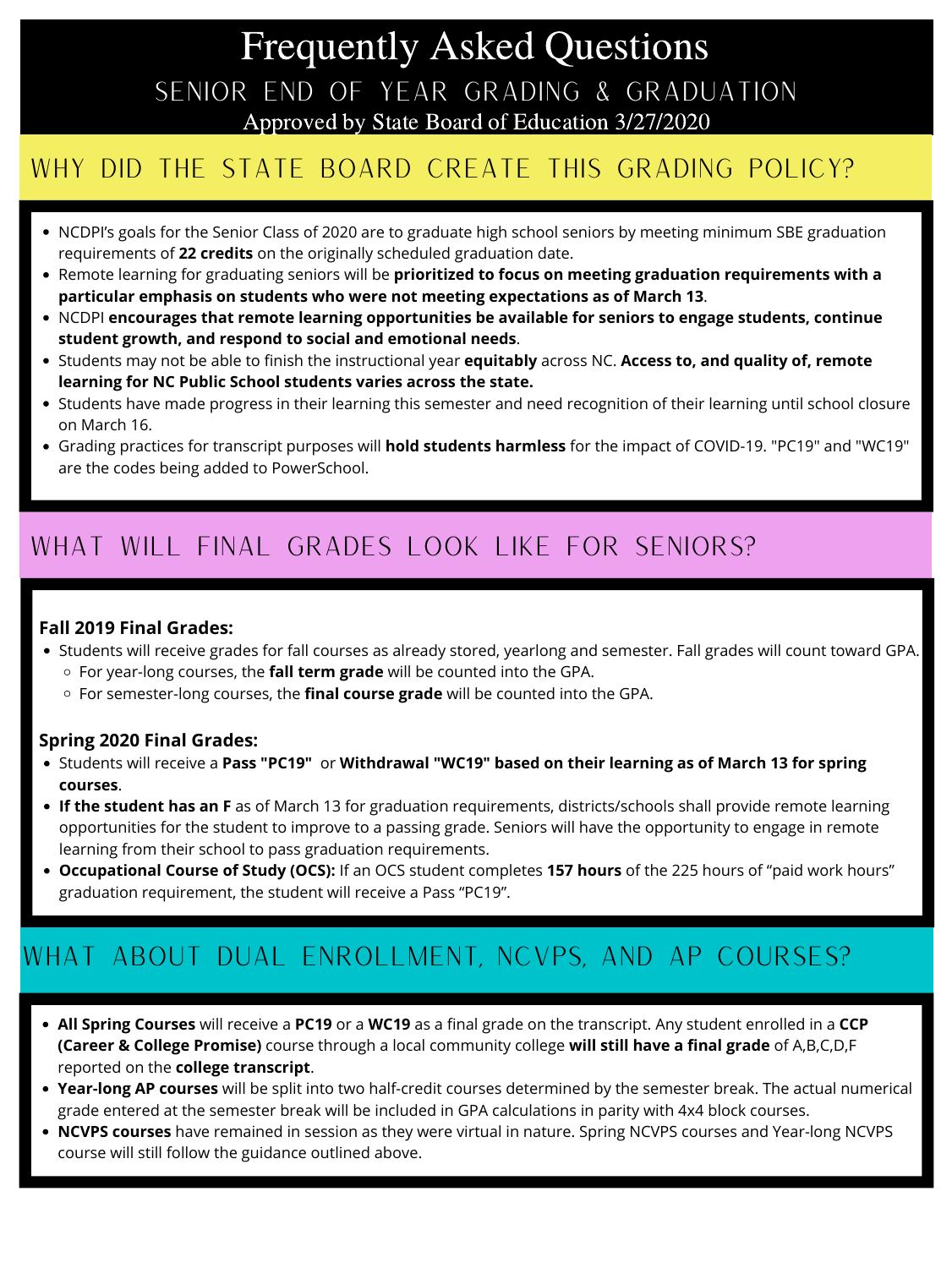# Frequently Asked Questions SENIOR END OF YEAR GRADING & GRADUATION Approved by State Board of Education 3/27/2020

## WHY DID THE STATE BOARD CREATE THIS GRADING POLICY?

- NCDPI's goals for the Senior Class of 2020 are to graduate high school seniors by meeting minimum SBE graduation requirements of **22 credits** on the originally scheduled graduation date.
- Remote learning for graduating seniors will be **prioritized to focus on meeting graduation requirements with a particular emphasis on students who were not meeting expectations as of March 13**.
- NCDPI **encourages that remote learning opportunities be available for seniors to engage students, continue student growth, and respond to social and emotional needs**.
- Students may not be able to finish the instructional year **equitably** across NC. **Access to, and quality of, remote learning for NC Public School students varies across the state.**
- Students have made progress in their learning this semester and need recognition of their learning until school closure on March 16.
- Grading practices for transcript purposes will **hold students harmless** for the impact of COVID-19. "PC19" and "WC19" are the codes being added to PowerSchool.

## what will final grades look like for seniors?

- Students will receive grades for fall courses as already stored, yearlong and semester. Fall grades will count toward GPA.
	- For year-long courses, the **fall term grade** will be counted into the GPA.
	- For semester-long courses, the **final course grade** will be counted into the GPA.

- Students will receive a **Pass "PC19"** or **Withdrawal "WC19" based on their learning as of March 13 for spring courses**.
- **If the student has an F** as of March 13 for graduation requirements, districts/schools shall provide remote learning opportunities for the student to improve to a passing grade. Seniors will have the opportunity to engage in remote learning from their school to pass graduation requirements.
- **Occupational Course of Study (OCS):** If an OCS student completes **157 hours** of the 225 hours of "paid work hours" graduation requirement, the student will receive a Pass "PC19".

### **Fall 2019 Final Grades:**

### **Spring 2020 Final Grades:**

## what about dual enrollment, NCVPS, and AP Courses?

- **All Spring Courses** will receive a **PC19** or a **WC19** as a final grade on the transcript. Any student enrolled in a **CCP (Career & College Promise)** course through a local community college **will still have a final grade** of A,B,C,D,F reported on the **college transcript**.
- **Year-long AP courses** will be split into two half-credit courses determined by the semester break. The actual numerical grade entered at the semester break will be included in GPA calculations in parity with 4x4 block courses.
- **NCVPS courses** have remained in session as they were virtual in nature. Spring NCVPS courses and Year-long NCVPS course will still follow the guidance outlined above.